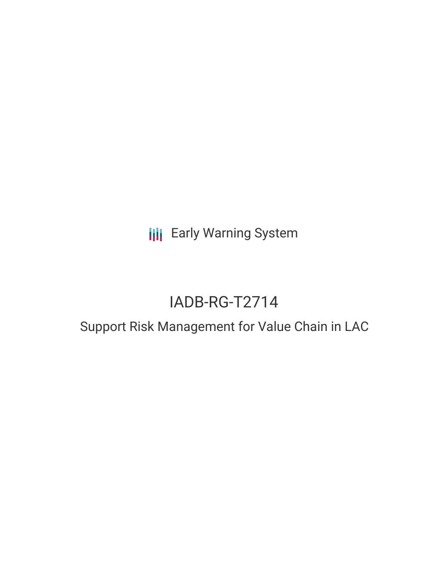**III** Early Warning System

# IADB-RG-T2714

# Support Risk Management for Value Chain in LAC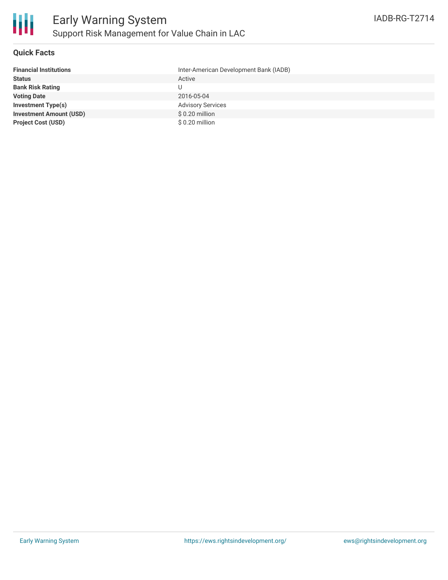## **Quick Facts**

| <b>Financial Institutions</b>  | Inter-American Development Bank (IADB) |
|--------------------------------|----------------------------------------|
| <b>Status</b>                  | Active                                 |
| <b>Bank Risk Rating</b>        | U                                      |
| <b>Voting Date</b>             | 2016-05-04                             |
| <b>Investment Type(s)</b>      | <b>Advisory Services</b>               |
| <b>Investment Amount (USD)</b> | $$0.20$ million                        |
| <b>Project Cost (USD)</b>      | $$0.20$ million                        |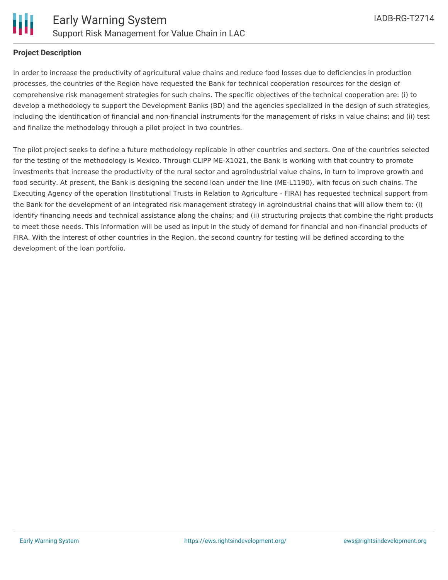

## **Project Description**

In order to increase the productivity of agricultural value chains and reduce food losses due to deficiencies in production processes, the countries of the Region have requested the Bank for technical cooperation resources for the design of comprehensive risk management strategies for such chains. The specific objectives of the technical cooperation are: (i) to develop a methodology to support the Development Banks (BD) and the agencies specialized in the design of such strategies, including the identification of financial and non-financial instruments for the management of risks in value chains; and (ii) test and finalize the methodology through a pilot project in two countries.

The pilot project seeks to define a future methodology replicable in other countries and sectors. One of the countries selected for the testing of the methodology is Mexico. Through CLIPP ME-X1021, the Bank is working with that country to promote investments that increase the productivity of the rural sector and agroindustrial value chains, in turn to improve growth and food security. At present, the Bank is designing the second loan under the line (ME-L1190), with focus on such chains. The Executing Agency of the operation (Institutional Trusts in Relation to Agriculture - FIRA) has requested technical support from the Bank for the development of an integrated risk management strategy in agroindustrial chains that will allow them to: (i) identify financing needs and technical assistance along the chains; and (ii) structuring projects that combine the right products to meet those needs. This information will be used as input in the study of demand for financial and non-financial products of FIRA. With the interest of other countries in the Region, the second country for testing will be defined according to the development of the loan portfolio.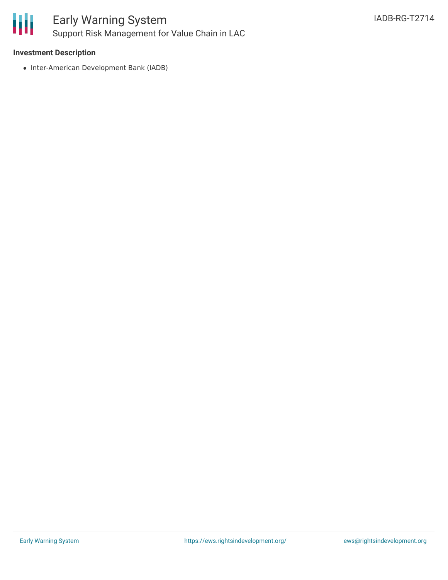

## **Investment Description**

• Inter-American Development Bank (IADB)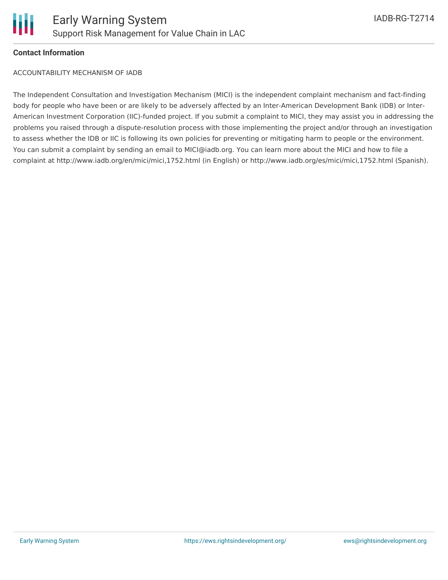

#### **Contact Information**

ACCOUNTABILITY MECHANISM OF IADB

The Independent Consultation and Investigation Mechanism (MICI) is the independent complaint mechanism and fact-finding body for people who have been or are likely to be adversely affected by an Inter-American Development Bank (IDB) or Inter-American Investment Corporation (IIC)-funded project. If you submit a complaint to MICI, they may assist you in addressing the problems you raised through a dispute-resolution process with those implementing the project and/or through an investigation to assess whether the IDB or IIC is following its own policies for preventing or mitigating harm to people or the environment. You can submit a complaint by sending an email to MICI@iadb.org. You can learn more about the MICI and how to file a complaint at http://www.iadb.org/en/mici/mici,1752.html (in English) or http://www.iadb.org/es/mici/mici,1752.html (Spanish).